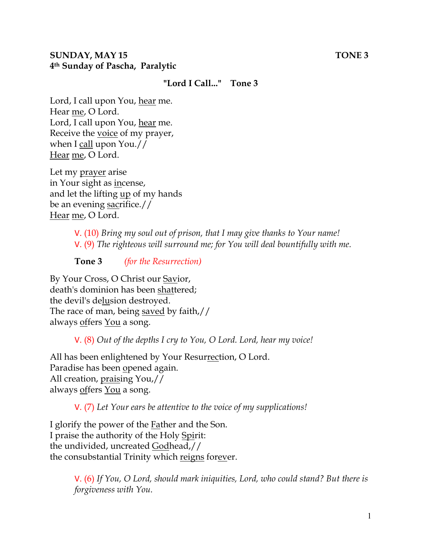#### **SUNDAY, MAY 15** TONE 3 **4th Sunday of Pascha, Paralytic**

#### **"Lord I Call..." Tone 3**

Lord, I call upon You, hear me. Hear me, O Lord. Lord, I call upon You, hear me. Receive the voice of my prayer, when I call upon You.// Hear me, O Lord.

Let my prayer arise in Your sight as incense, and let the lifting up of my hands be an evening sacrifice.// Hear me, O Lord.

> V. (10) *Bring my soul out of prison, that I may give thanks to Your name!*  V. (9) *The righteous will surround me; for You will deal bountifully with me.*

**Tone 3** *(for the Resurrection)* 

By Your Cross, O Christ our Savior, death's dominion has been shattered; the devil's delusion destroyed. The race of man, being saved by faith,// always offers You a song.

V. (8) *Out of the depths I cry to You, O Lord. Lord, hear my voice!* 

All has been enlightened by Your Resurrection, O Lord. Paradise has been opened again. All creation, praising You,// always offers You a song.

V. (7) *Let Your ears be attentive to the voice of my supplications!*

I glorify the power of the Father and the Son. I praise the authority of the Holy Spirit: the undivided, uncreated Godhead,// the consubstantial Trinity which reigns for ever.

> V. (6) *If You, O Lord, should mark iniquities, Lord, who could stand? But there is forgiveness with You.*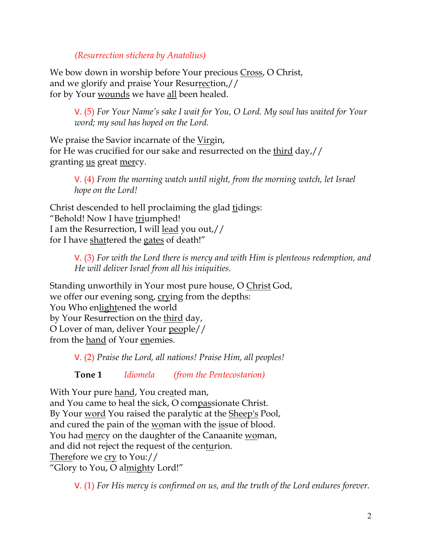*(Resurrection stichera by Anatolius)*

We bow down in worship before Your precious Cross, O Christ, and we glorify and praise Your Resurrection,// for by Your wounds we have all been healed.

V. (5) *For Your Name's sake I wait for You, O Lord. My soul has waited for Your word; my soul has hoped on the Lord.* 

We praise the Savior incarnate of the Virgin, for He was crucified for our sake and resurrected on the third day,// granting us great mercy.

V. (4) *From the morning watch until night, from the morning watch, let Israel hope on the Lord!* 

Christ descended to hell proclaiming the glad tidings: "Behold! Now I have triumphed! I am the Resurrection, I will lead you out,// for I have shattered the gates of death!"

> V. (3) *For with the Lord there is mercy and with Him is plenteous redemption, and He will deliver Israel from all his iniquities.*

Standing unworthily in Your most pure house, O Christ God, we offer our evening song, crying from the depths: You Who enlightened the world by Your Resurrection on the third day, O Lover of man, deliver Your people// from the <u>hand</u> of Your enemies.

V. (2) *Praise the Lord, all nations! Praise Him, all peoples!*

**Tone 1** *Idiomela (from the Pentecostarion)*

With Your pure hand, You created man, and You came to heal the sick, O compassionate Christ. By Your word You raised the paralytic at the Sheep's Pool, and cured the pain of the woman with the issue of blood. You had mercy on the daughter of the Canaanite woman, and did not reject the request of the centurion. Therefore we cry to You:// "Glory to You, O almighty Lord!"

V. (1) *For His mercy is confirmed on us, and the truth of the Lord endures forever.*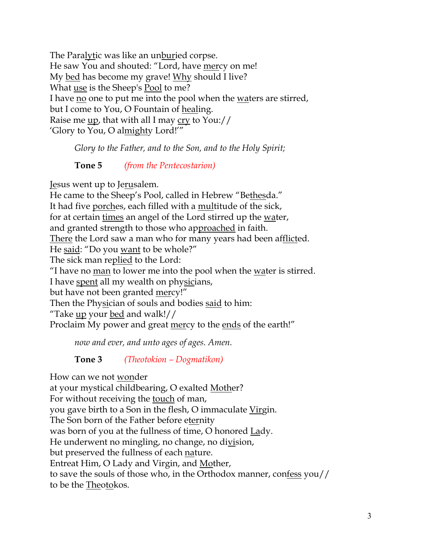The Paralytic was like an unburied corpse. He saw You and shouted: "Lord, have mercy on me! My bed has become my grave! Why should I live? What use is the Sheep's Pool to me? I have no one to put me into the pool when the waters are stirred, but I come to You, O Fountain of healing. Raise me up, that with all I may cry to You:// 'Glory to You, O almighty Lord!'"

*Glory to the Father, and to the Son, and to the Holy Spirit;*

**Tone 5** *(from the Pentecostarion)*

Jesus went up to Jerusalem.

He came to the Sheep's Pool, called in Hebrew "Bethesda." It had five porches, each filled with a multitude of the sick, for at certain times an angel of the Lord stirred up the water, and granted strength to those who approached in faith. There the Lord saw a man who for many years had been afflicted. He said: "Do you want to be whole?" The sick man replied to the Lord: "I have no man to lower me into the pool when the water is stirred. I have spent all my wealth on physicians, but have not been granted mercy!" Then the Physician of souls and bodies said to him: "Take up your bed and walk!// Proclaim My power and great mercy to the ends of the earth!"

*now and ever, and unto ages of ages. Amen.* 

**Tone 3** *(Theotokion – Dogmatikon)*

How can we not wonder at your mystical childbearing, O exalted Mother? For without receiving the touch of man, you gave birth to a Son in the flesh, O immaculate Virgin. The Son born of the Father before eternity was born of you at the fullness of time, O honored Lady. He underwent no mingling, no change, no division, but preserved the fullness of each nature. Entreat Him, O Lady and Virgin, and Mother, to save the souls of those who, in the Orthodox manner, confess you// to be the Theotokos.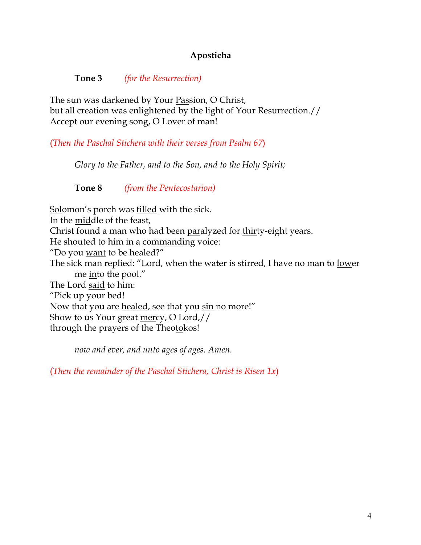### **Aposticha**

**Tone 3** *(for the Resurrection)*

The sun was darkened by Your Passion, O Christ, but all creation was enlightened by the light of Your Resurrection.// Accept our evening song, O Lover of man!

(*Then the Paschal Stichera with their verses from Psalm 67*)

*Glory to the Father, and to the Son, and to the Holy Spirit;*

**Tone 8** *(from the Pentecostarion)*

Solomon's porch was <u>filled</u> with the sick. In the middle of the feast, Christ found a man who had been paralyzed for thirty-eight years. He shouted to him in a commanding voice: "Do you want to be healed?" The sick man replied: "Lord, when the water is stirred, I have no man to lower me into the pool." The Lord said to him: "Pick up your bed! Now that you are healed, see that you sin no more!" Show to us Your great mercy, O Lord,// through the prayers of the Theotokos!

*now and ever, and unto ages of ages. Amen.*

(*Then the remainder of the Paschal Stichera, Christ is Risen 1x*)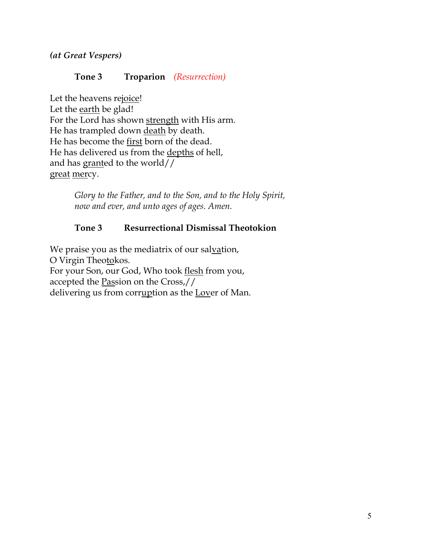*(at Great Vespers)*

#### **Tone 3 Troparion** *(Resurrection)*

Let the heavens rejoice! Let the earth be glad! For the Lord has shown strength with His arm. He has trampled down death by death. He has become the first born of the dead. He has delivered us from the depths of hell, and has granted to the world// great mercy.

> *Glory to the Father, and to the Son, and to the Holy Spirit, now and ever, and unto ages of ages. Amen.*

### **Tone 3 Resurrectional Dismissal Theotokion**

We praise you as the mediatrix of our salvation, O Virgin Theotokos. For your Son, our God, Who took flesh from you, accepted the Passion on the Cross,// delivering us from corruption as the Lover of Man.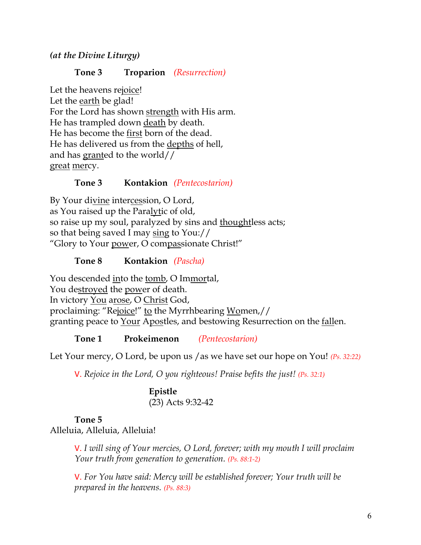*(at the Divine Liturgy)*

#### **Tone 3 Troparion** *(Resurrection)*

Let the heavens rejoice! Let the earth be glad! For the Lord has shown strength with His arm. He has trampled down death by death. He has become the first born of the dead. He has delivered us from the depths of hell, and has granted to the world// great mercy.

#### **Tone 3 Kontakion** *(Pentecostarion)*

By Your divine intercession, O Lord, as You raised up the Paralytic of old, so raise up my soul, paralyzed by sins and thoughtless acts; so that being saved I may sing to You:// "Glory to Your power, O compassionate Christ!"

#### **Tone 8 Kontakion** *(Pascha)*

You descended into the tomb, O Immortal, You destroyed the power of death. In victory You arose, O Christ God, proclaiming: "Rejoice!" to the Myrrhbearing Women,// granting peace to Your Apostles, and bestowing Resurrection on the fallen.

**Tone 1 Prokeimenon** *(Pentecostarion)*

Let Your mercy, O Lord, be upon us /as we have set our hope on You! *(Ps. 32:22)*

V. *Rejoice in the Lord, O you righteous! Praise befits the just! (Ps. 32:1)*

**Epistle** (23) Acts 9:32-42

#### **Tone 5**

Alleluia, Alleluia, Alleluia!

V. *I will sing of Your mercies, O Lord, forever; with my mouth I will proclaim Your truth from generation to generation. (Ps. 88:1-2)* 

V. *For You have said: Mercy will be established forever; Your truth will be prepared in the heavens. (Ps. 88:3)*